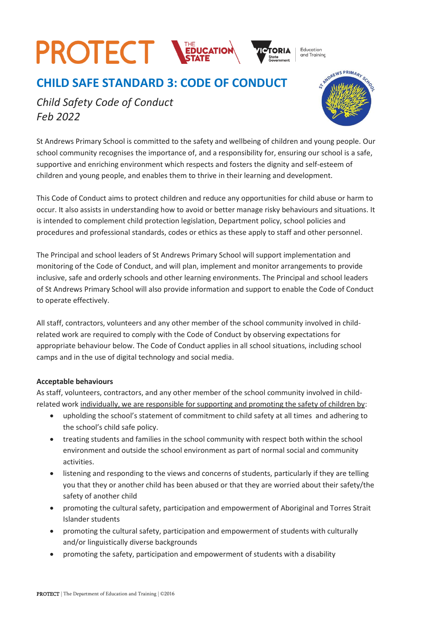## **PROTECT STATE**

**CHILD SAFE STANDARD 3: CODE OF CONDUCT** 

Education and Training

ANDREWS PRIMARY

*Child Safety Code of Conduct Feb 2022*

St Andrews Primary School is committed to the safety and wellbeing of children and young people. Our school community recognises the importance of, and a responsibility for, ensuring our school is a safe, supportive and enriching environment which respects and fosters the dignity and self-esteem of children and young people, and enables them to thrive in their learning and development.

This Code of Conduct aims to protect children and reduce any opportunities for child abuse or harm to occur. It also assists in understanding how to avoid or better manage risky behaviours and situations. It is intended to complement child protection legislation, Department policy, school policies and procedures and professional standards, codes or ethics as these apply to staff and other personnel.

The Principal and school leaders of St Andrews Primary School will support implementation and monitoring of the Code of Conduct, and will plan, implement and monitor arrangements to provide inclusive, safe and orderly schools and other learning environments. The Principal and school leaders of St Andrews Primary School will also provide information and support to enable the Code of Conduct to operate effectively.

All staff, contractors, volunteers and any other member of the school community involved in childrelated work are required to comply with the Code of Conduct by observing expectations for appropriate behaviour below. The Code of Conduct applies in all school situations, including school camps and in the use of digital technology and social media.

## **Acceptable behaviours**

As staff, volunteers, contractors, and any other member of the school community involved in childrelated work individually, we are responsible for supporting and promoting the safety of children by:

- upholding the school's statement of commitment to child safety at all times and adhering to the school's child safe policy.
- treating students and families in the school community with respect both within the school environment and outside the school environment as part of normal social and community activities.
- listening and responding to the views and concerns of students, particularly if they are telling you that they or another child has been abused or that they are worried about their safety/the safety of another child
- promoting the cultural safety, participation and empowerment of Aboriginal and Torres Strait Islander students
- promoting the cultural safety, participation and empowerment of students with culturally and/or linguistically diverse backgrounds
- promoting the safety, participation and empowerment of students with a disability